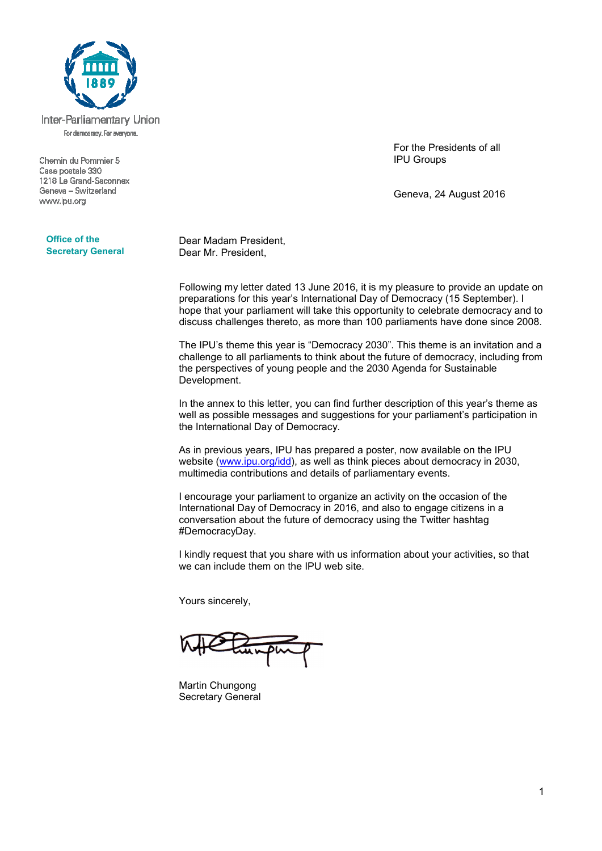

Inter-Parliamentary Union For democracy. For everyone.

Chemin du Pommier 5 Case postale 330 1218 Le Grand-Saconnex Geneva - Switzerland www.ipu.org

For the Presidents of all IPU Groups

Geneva, 24 August 2016

**Office of the Secretary General**

Dear Madam President, Dear Mr. President,

Following my letter dated 13 June 2016, it is my pleasure to provide an update on preparations for this year's International Day of Democracy (15 September). I hope that your parliament will take this opportunity to celebrate democracy and to discuss challenges thereto, as more than 100 parliaments have done since 2008.

The IPU's theme this year is "Democracy 2030". This theme is an invitation and a challenge to all parliaments to think about the future of democracy, including from the perspectives of young people and the 2030 Agenda for Sustainable Development.

In the annex to this letter, you can find further description of this year's theme as well as possible messages and suggestions for your parliament's participation in the International Day of Democracy.

As in previous years, IPU has prepared a poster, now available on the IPU website (www.ipu.org/idd), as well as think pieces about democracy in 2030, multimedia contributions and details of parliamentary events.

I encourage your parliament to organize an activity on the occasion of the International Day of Democracy in 2016, and also to engage citizens in a conversation about the future of democracy using the Twitter hashtag #DemocracyDay.

I kindly request that you share with us information about your activities, so that we can include them on the IPU web site.

Yours sincerely,

Martin Chungong Secretary General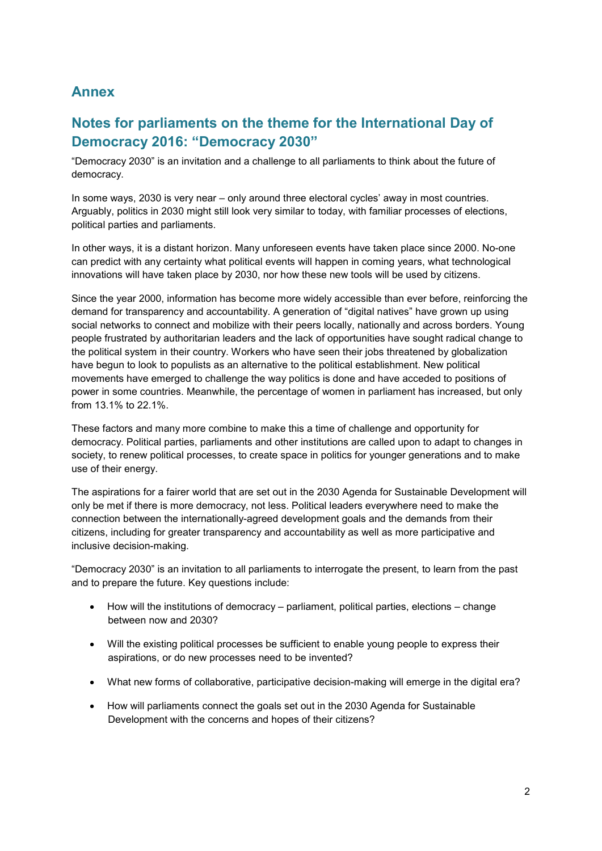## **Annex**

# **Notes for parliaments on the theme for the International Day of Democracy 2016: "Democracy 2030"**

"Democracy 2030" is an invitation and a challenge to all parliaments to think about the future of democracy.

In some ways, 2030 is very near – only around three electoral cycles' away in most countries. Arguably, politics in 2030 might still look very similar to today, with familiar processes of elections, political parties and parliaments.

In other ways, it is a distant horizon. Many unforeseen events have taken place since 2000. No-one can predict with any certainty what political events will happen in coming years, what technological innovations will have taken place by 2030, nor how these new tools will be used by citizens.

Since the year 2000, information has become more widely accessible than ever before, reinforcing the demand for transparency and accountability. A generation of "digital natives" have grown up using social networks to connect and mobilize with their peers locally, nationally and across borders. Young people frustrated by authoritarian leaders and the lack of opportunities have sought radical change to the political system in their country. Workers who have seen their jobs threatened by globalization have begun to look to populists as an alternative to the political establishment. New political movements have emerged to challenge the way politics is done and have acceded to positions of power in some countries. Meanwhile, the percentage of women in parliament has increased, but only from 13.1% to 22.1%.

These factors and many more combine to make this a time of challenge and opportunity for democracy. Political parties, parliaments and other institutions are called upon to adapt to changes in society, to renew political processes, to create space in politics for younger generations and to make use of their energy.

The aspirations for a fairer world that are set out in the 2030 Agenda for Sustainable Development will only be met if there is more democracy, not less. Political leaders everywhere need to make the connection between the internationally-agreed development goals and the demands from their citizens, including for greater transparency and accountability as well as more participative and inclusive decision-making.

"Democracy 2030" is an invitation to all parliaments to interrogate the present, to learn from the past and to prepare the future. Key questions include:

- How will the institutions of democracy parliament, political parties, elections change between now and 2030?
- Will the existing political processes be sufficient to enable young people to express their aspirations, or do new processes need to be invented?
- What new forms of collaborative, participative decision-making will emerge in the digital era?
- How will parliaments connect the goals set out in the 2030 Agenda for Sustainable Development with the concerns and hopes of their citizens?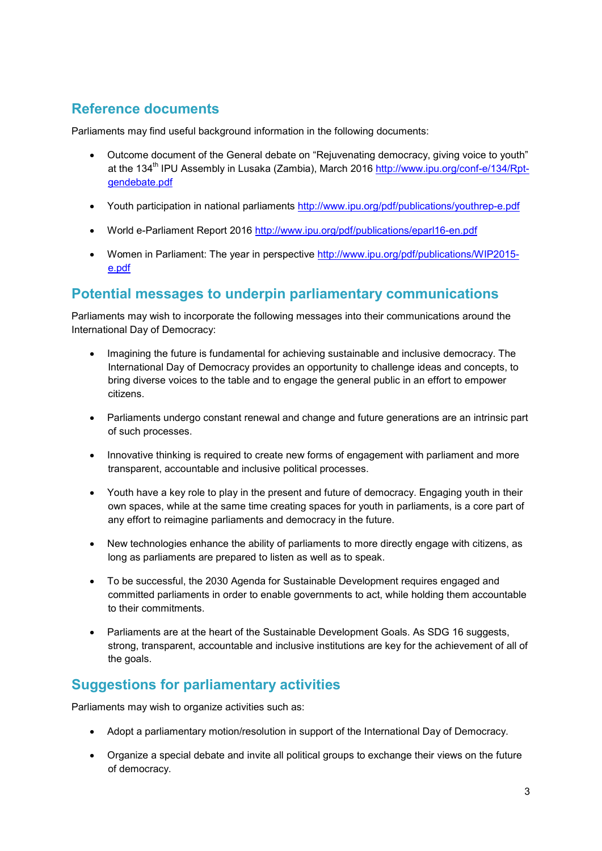# **Reference documents**

Parliaments may find useful background information in the following documents:

- Outcome document of the General debate on "Rejuvenating democracy, giving voice to youth" at the 134<sup>th</sup> IPU Assembly in Lusaka (Zambia), March 2016 http://www.ipu.org/conf-e/134/Rptgendebate.pdf
- Youth participation in national parliaments http://www.ipu.org/pdf/publications/youthrep-e.pdf
- World e-Parliament Report 2016 http://www.ipu.org/pdf/publications/eparl16-en.pdf
- Women in Parliament: The year in perspective http://www.ipu.org/pdf/publications/WIP2015e.pdf

#### **Potential messages to underpin parliamentary communications**

Parliaments may wish to incorporate the following messages into their communications around the International Day of Democracy:

- Imagining the future is fundamental for achieving sustainable and inclusive democracy. The International Day of Democracy provides an opportunity to challenge ideas and concepts, to bring diverse voices to the table and to engage the general public in an effort to empower citizens.
- Parliaments undergo constant renewal and change and future generations are an intrinsic part of such processes.
- Innovative thinking is required to create new forms of engagement with parliament and more transparent, accountable and inclusive political processes.
- Youth have a key role to play in the present and future of democracy. Engaging youth in their own spaces, while at the same time creating spaces for youth in parliaments, is a core part of any effort to reimagine parliaments and democracy in the future.
- New technologies enhance the ability of parliaments to more directly engage with citizens, as long as parliaments are prepared to listen as well as to speak.
- To be successful, the 2030 Agenda for Sustainable Development requires engaged and committed parliaments in order to enable governments to act, while holding them accountable to their commitments.
- Parliaments are at the heart of the Sustainable Development Goals. As SDG 16 suggests, strong, transparent, accountable and inclusive institutions are key for the achievement of all of the goals.

## **Suggestions for parliamentary activities**

Parliaments may wish to organize activities such as:

- Adopt a parliamentary motion/resolution in support of the International Day of Democracy.
- Organize a special debate and invite all political groups to exchange their views on the future of democracy.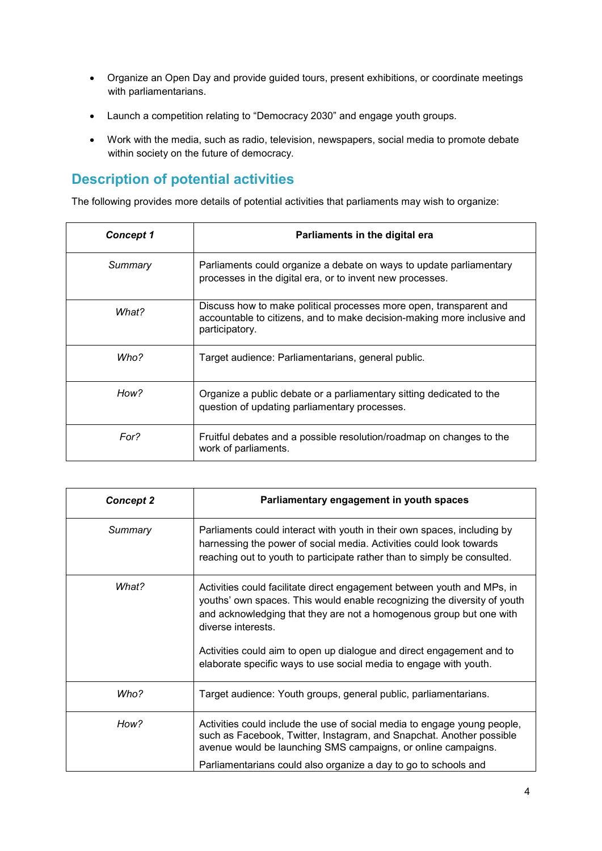- Organize an Open Day and provide guided tours, present exhibitions, or coordinate meetings with parliamentarians.
- Launch a competition relating to "Democracy 2030" and engage youth groups.
- Work with the media, such as radio, television, newspapers, social media to promote debate within society on the future of democracy.

### **Description of potential activities**

The following provides more details of potential activities that parliaments may wish to organize:

| <b>Concept 1</b> | Parliaments in the digital era                                                                                                                                  |
|------------------|-----------------------------------------------------------------------------------------------------------------------------------------------------------------|
| Summary          | Parliaments could organize a debate on ways to update parliamentary<br>processes in the digital era, or to invent new processes.                                |
| What?            | Discuss how to make political processes more open, transparent and<br>accountable to citizens, and to make decision-making more inclusive and<br>participatory. |
| Who?             | Target audience: Parliamentarians, general public.                                                                                                              |
| How?             | Organize a public debate or a parliamentary sitting dedicated to the<br>question of updating parliamentary processes.                                           |
| For?             | Fruitful debates and a possible resolution/roadmap on changes to the<br>work of parliaments.                                                                    |

| <b>Concept 2</b> | Parliamentary engagement in youth spaces                                                                                                                                                                                                                                             |
|------------------|--------------------------------------------------------------------------------------------------------------------------------------------------------------------------------------------------------------------------------------------------------------------------------------|
| Summary          | Parliaments could interact with youth in their own spaces, including by<br>harnessing the power of social media. Activities could look towards<br>reaching out to youth to participate rather than to simply be consulted.                                                           |
| What?            | Activities could facilitate direct engagement between youth and MPs, in<br>youths' own spaces. This would enable recognizing the diversity of youth<br>and acknowledging that they are not a homogenous group but one with<br>diverse interests.                                     |
|                  | Activities could aim to open up dialogue and direct engagement and to<br>elaborate specific ways to use social media to engage with youth.                                                                                                                                           |
| Who?             | Target audience: Youth groups, general public, parliamentarians.                                                                                                                                                                                                                     |
| How?             | Activities could include the use of social media to engage young people,<br>such as Facebook, Twitter, Instagram, and Snapchat. Another possible<br>avenue would be launching SMS campaigns, or online campaigns.<br>Parliamentarians could also organize a day to go to schools and |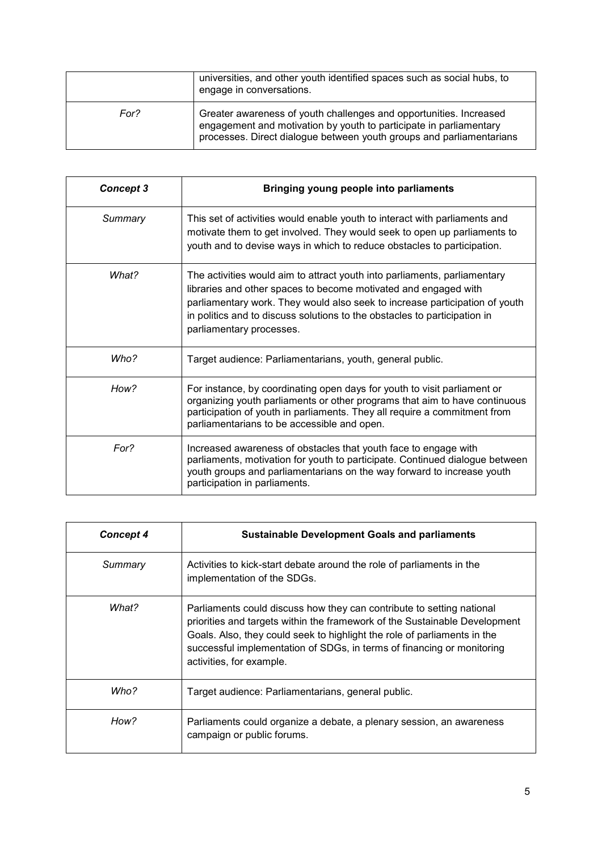|      | universities, and other youth identified spaces such as social hubs, to<br>engage in conversations.                                                                                                              |
|------|------------------------------------------------------------------------------------------------------------------------------------------------------------------------------------------------------------------|
| For? | Greater awareness of youth challenges and opportunities. Increased<br>engagement and motivation by youth to participate in parliamentary<br>processes. Direct dialogue between youth groups and parliamentarians |

| <b>Concept 3</b> | Bringing young people into parliaments                                                                                                                                                                                                                                                                                               |
|------------------|--------------------------------------------------------------------------------------------------------------------------------------------------------------------------------------------------------------------------------------------------------------------------------------------------------------------------------------|
| Summary          | This set of activities would enable youth to interact with parliaments and<br>motivate them to get involved. They would seek to open up parliaments to<br>youth and to devise ways in which to reduce obstacles to participation.                                                                                                    |
| What?            | The activities would aim to attract youth into parliaments, parliamentary<br>libraries and other spaces to become motivated and engaged with<br>parliamentary work. They would also seek to increase participation of youth<br>in politics and to discuss solutions to the obstacles to participation in<br>parliamentary processes. |
| Who?             | Target audience: Parliamentarians, youth, general public.                                                                                                                                                                                                                                                                            |
| How?             | For instance, by coordinating open days for youth to visit parliament or<br>organizing youth parliaments or other programs that aim to have continuous<br>participation of youth in parliaments. They all require a commitment from<br>parliamentarians to be accessible and open.                                                   |
| For?             | Increased awareness of obstacles that youth face to engage with<br>parliaments, motivation for youth to participate. Continued dialogue between<br>youth groups and parliamentarians on the way forward to increase youth<br>participation in parliaments.                                                                           |

| <b>Concept 4</b> | <b>Sustainable Development Goals and parliaments</b>                                                                                                                                                                                                                                                                                  |
|------------------|---------------------------------------------------------------------------------------------------------------------------------------------------------------------------------------------------------------------------------------------------------------------------------------------------------------------------------------|
| Summary          | Activities to kick-start debate around the role of parliaments in the<br>implementation of the SDGs.                                                                                                                                                                                                                                  |
| What?            | Parliaments could discuss how they can contribute to setting national<br>priorities and targets within the framework of the Sustainable Development<br>Goals. Also, they could seek to highlight the role of parliaments in the<br>successful implementation of SDGs, in terms of financing or monitoring<br>activities, for example. |
| Who?             | Target audience: Parliamentarians, general public.                                                                                                                                                                                                                                                                                    |
| How?             | Parliaments could organize a debate, a plenary session, an awareness<br>campaign or public forums.                                                                                                                                                                                                                                    |